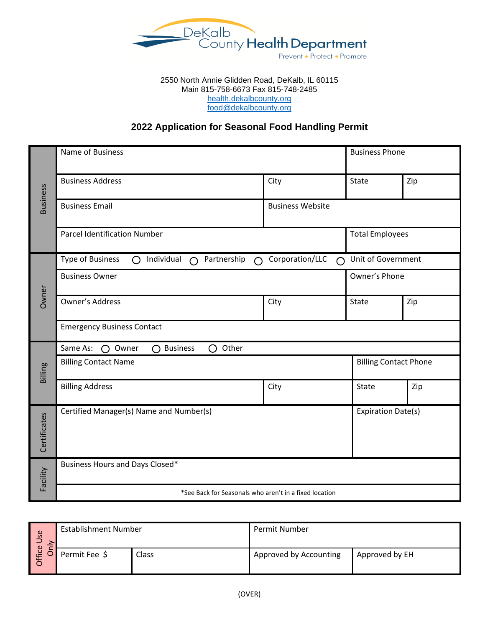

#### 2550 North Annie Glidden Road, DeKalb, IL 60115 Main 815-758-6673 Fax 815-748-2485 [health.dekalbcounty.org](file://///BARNEY/EnvironHealth$/Food%20information/Applications/Applications%20Template/health.dekalbcounty.org) [food@dekalbcounty.org](mailto:food@dekalbcounty.org)

# **2022 Application for Seasonal Food Handling Permit**

| <b>Business</b> | Name of Business                                                                    |                              | <b>Business Phone</b>     |     |  |
|-----------------|-------------------------------------------------------------------------------------|------------------------------|---------------------------|-----|--|
|                 | <b>Business Address</b>                                                             | City                         | State                     | Zip |  |
|                 | <b>Business Email</b>                                                               | <b>Business Website</b>      |                           |     |  |
|                 | <b>Parcel Identification Number</b>                                                 |                              | <b>Total Employees</b>    |     |  |
| Owner           | <b>Type of Business</b><br>Individual<br>Partnership<br>∩<br>$\bigcap$<br>$\bigcap$ | Corporation/LLC<br>$\bigcap$ | Unit of Government        |     |  |
|                 | <b>Business Owner</b>                                                               | Owner's Phone                |                           |     |  |
|                 | <b>Owner's Address</b>                                                              | City                         | State                     | Zip |  |
|                 | <b>Emergency Business Contact</b>                                                   |                              |                           |     |  |
|                 | Other<br>Same As:<br>$\bigcap$ Owner<br>$\bigcap$ Business<br>O                     |                              |                           |     |  |
| Billing         | <b>Billing Contact Name</b>                                                         | <b>Billing Contact Phone</b> |                           |     |  |
|                 | <b>Billing Address</b>                                                              | City                         | State                     | Zip |  |
| Certificates    | Certified Manager(s) Name and Number(s)                                             |                              | <b>Expiration Date(s)</b> |     |  |
| Facility        | Business Hours and Days Closed*                                                     |                              |                           |     |  |
|                 | *See Back for Seasonals who aren't in a fixed location                              |                              |                           |     |  |

| <b>Se</b><br>⊃<br>ffice<br>$\sim$<br>⌒ | <b>Establishment Number</b> |              | Permit Number          |                |  |
|----------------------------------------|-----------------------------|--------------|------------------------|----------------|--|
|                                        | Permit Fee \$               | <b>Class</b> | Approved by Accounting | Approved by EH |  |